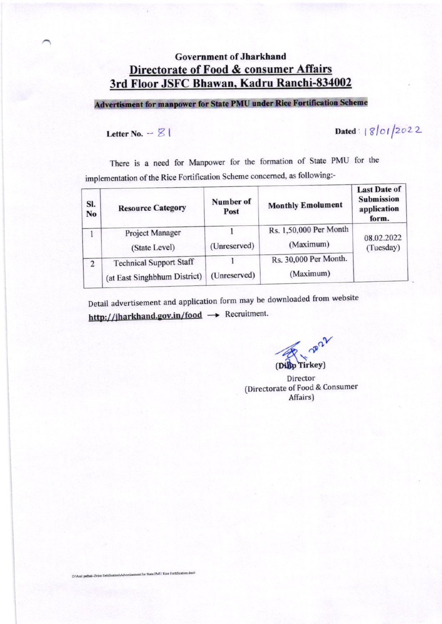# **Government of Jharkhand** Directorate of Food & consumer Affairs 3rd Floor JSFC Bhawan, Kadru Ranchi-834002

**Advertisment for manpower for State PMU under Rice Fortification Scheme** 

Letter No.  $\varnothing$  |

Dated: 18/01/2022

There is a need for Manpower for the formation of State PMU for the implementation of the Rice Fortification Scheme concerned, as following:-

| SI.<br>N <sub>o</sub> | <b>Resource Category</b>                                       | Number of<br>Post                                  | <b>Monthly Emolument</b>            | <b>Last Date of</b><br><b>Submission</b><br>application<br>form. |  |
|-----------------------|----------------------------------------------------------------|----------------------------------------------------|-------------------------------------|------------------------------------------------------------------|--|
|                       | <b>Project Manager</b><br>(State Level)                        | (Unreserved)                                       | Rs. 1,50,000 Per Month<br>(Maximum) | 08.02.2022<br>(Tuesday)                                          |  |
| $\overline{2}$        | <b>Technical Support Staff</b><br>(at East Singhbhum District) | Rs. 30,000 Per Month.<br>(Maximum)<br>(Unreserved) |                                     |                                                                  |  |

Detail advertisement and application form may be downloaded from website http://jharkhand.gov.in/food  $\rightarrow$  Recruitment.

maz (Dilip Tirkey)

Director (Directorate of Food & Consumer Affairs)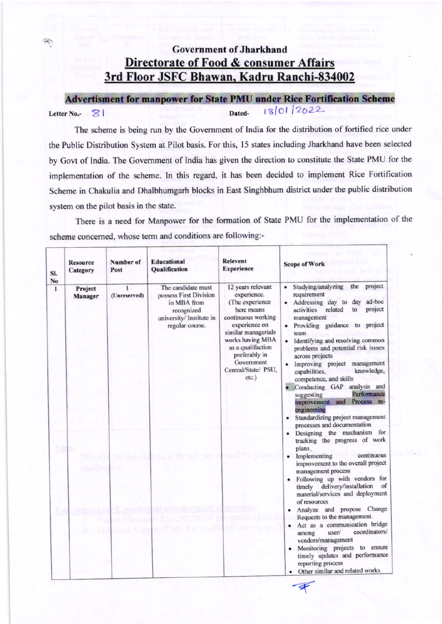# **Government of Jharkhand** Directorate of Food & consumer Affairs 3rd Floor JSFC Bhawan, Kadru Ranchi-834002

 $\triangledown$ 

**Advertisment for manpower for State PMU under Rice Fortification Scheme** 18/01/2022 Dated-Letter No.-  $\otimes$ 

The scheme is being run by the Government of India for the distribution of fortified rice under the Public Distribution System at Pilot basis. For this, 15 states including Jharkhand have been selected by Govt of India. The Government of India has given the direction to constitute the State PMU for the implementation of the scheme. In this regard, it has been decided to implement Rice Fortification Scheme in Chakulia and Dhalbhumgarh blocks in East Singhbhum district under the public distribution system on the pilot basis in the state.

There is a need for Manpower for the formation of State PMU for the implementation of the scheme concerned, whose term and conditions are following:-

| SI.<br>No | <b>Resource</b><br>Category | Number of<br>Post | <b>Educational</b><br><b>Oualification</b>                                                                               | <b>Relevent</b><br><b>Experience</b>                                                                                                                                                                                                       | <b>Scope of Work</b>                                                                                                                                                                                                                                                                                                                                                                                                                                                                                                                                              |
|-----------|-----------------------------|-------------------|--------------------------------------------------------------------------------------------------------------------------|--------------------------------------------------------------------------------------------------------------------------------------------------------------------------------------------------------------------------------------------|-------------------------------------------------------------------------------------------------------------------------------------------------------------------------------------------------------------------------------------------------------------------------------------------------------------------------------------------------------------------------------------------------------------------------------------------------------------------------------------------------------------------------------------------------------------------|
| 1         | Project<br>Manager          | 1<br>(Unreserved) | The candidate must<br>possess First Division<br>in MBA from<br>recognized<br>university/ Institute in<br>regular course. | 12 years relevant<br>experience.<br>(The experience<br>here means<br>continuous working<br>experience on<br>similar managerials<br>works having MBA<br>as a qualifaction<br>preferably in<br>Government<br>Central/State/ PSU,<br>$etc.$ ) | Studying/analyzing<br>project<br>the<br>requirement<br>Addressing day to day<br>ad-hoc<br>project<br>activities<br>related<br>to<br>management<br>Providing guidance to project<br>team<br>• Identifying and resolving common<br>problems and potential risk issues<br>across projects<br>Improving project management<br>knowledge,<br>capabilities,<br>competence, and skills<br>· Conducting GAP analysis and<br>Performance<br>suggesting<br>Process re-<br>improvement and<br>engineering<br>Standardizing project management<br>processes and documentation |
|           |                             |                   |                                                                                                                          |                                                                                                                                                                                                                                            | Designing the mechanism for<br>tracking the progress of work<br>plans<br>continuous<br>$\bullet$<br>Implementing<br>improvement to the overall project<br>management process<br>· Following up with vendors for<br>timely delivery/installation<br>of<br>material/services and deployment<br>of resources<br>Analyze and propose Change<br>Requests to the management.<br>· Act as a communication bridge<br>coordinators/<br>user/<br>among                                                                                                                      |
|           |                             |                   |                                                                                                                          |                                                                                                                                                                                                                                            | vendors/management<br>· Monitoring projects to ensure<br>timely updates and performance<br>reporting process<br>Other similar and related works                                                                                                                                                                                                                                                                                                                                                                                                                   |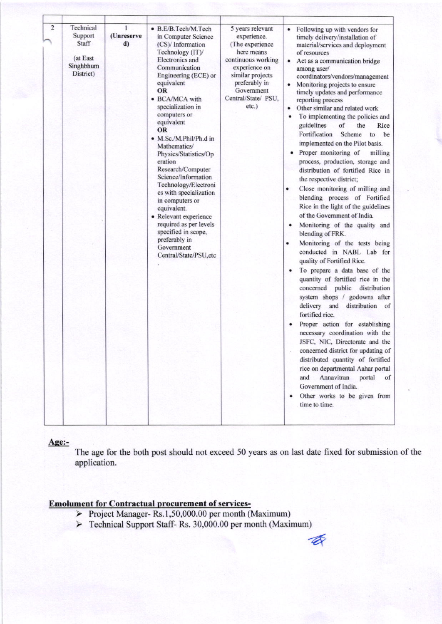| $\overline{\mathbf{c}}$<br>Technical<br>Support<br>Staff<br>(at East<br>Singhbhum<br>District) | 1<br>(Unreserve<br>$\mathbf{d}$ | · B.E/B.Tech/M.Tech<br>in Computer Science<br>(CS)/ Information<br>Technology (IT)/<br><b>Electronics</b> and<br>Communication<br>Engineering (ECE) or<br>equivalent<br>OR<br>• BCA/MCA with<br>specialization in<br>computers or<br>equivalent<br><b>OR</b><br>• M.Sc./M.Phil/Ph.d in<br>Mathematics/<br>Physics/Statistics/Op<br>eration<br>Research/Computer<br>Science/Information<br>Technology/Electroni<br>cs with specialization<br>in computers or<br>equivalent.<br>• Relevant experience<br>required as per levels<br>specified in scope,<br>preferably in<br>Government<br>Central/State/PSU, etc | 5 years relevant<br>experience.<br>(The experience<br>here means<br>continuous working<br>experience on<br>similar projects<br>preferably in<br>Government<br>Central/State/ PSU,<br>$etc.$ ) | Following up with vendors for<br>timely delivery/installation of<br>material/services and deployment<br>of resources<br>Act as a communication bridge<br>among user/<br>coordinators/vendors/management<br>Monitoring projects to ensure<br>timely updates and performance<br>reporting process<br>Other similar and related work<br>To implementing the policies and<br>guidelines<br>of<br>Rice<br>the<br>Fortification<br>Scheme<br>be<br>to<br>implemented on the Pilot basis.<br>Proper monitoring of<br>milling<br>process, production, storage and<br>distribution of fortified Rice in<br>the respective district;<br>Close monitoring of milling and<br>٠<br>blending process of Fortified<br>Rice in the light of the guidelines<br>of the Government of India.<br>Monitoring of the quality and<br>٠<br>blending of FRK.<br>Monitoring of the tests being<br>٠<br>conducted in NABL Lab for<br>quality of Fortified Rice.<br>To prepare a data base of the<br>٠<br>quantity of fortified rice in the<br>concerned public distribution<br>system shops / godowns after<br>delivery and distribution of<br>fortified rice.<br>Proper action for establishing<br>٠<br>necessary coordination with the<br>JSFC, NIC, Directorate and the<br>concerned district for updating of<br>distributed quantity of fortified<br>rice on departmental Aahar portal<br>Annavitran<br>and<br>portal<br>of<br>Government of India.<br>Other works to be given from<br>time to time. |
|------------------------------------------------------------------------------------------------|---------------------------------|---------------------------------------------------------------------------------------------------------------------------------------------------------------------------------------------------------------------------------------------------------------------------------------------------------------------------------------------------------------------------------------------------------------------------------------------------------------------------------------------------------------------------------------------------------------------------------------------------------------|-----------------------------------------------------------------------------------------------------------------------------------------------------------------------------------------------|-------------------------------------------------------------------------------------------------------------------------------------------------------------------------------------------------------------------------------------------------------------------------------------------------------------------------------------------------------------------------------------------------------------------------------------------------------------------------------------------------------------------------------------------------------------------------------------------------------------------------------------------------------------------------------------------------------------------------------------------------------------------------------------------------------------------------------------------------------------------------------------------------------------------------------------------------------------------------------------------------------------------------------------------------------------------------------------------------------------------------------------------------------------------------------------------------------------------------------------------------------------------------------------------------------------------------------------------------------------------------------------------------------------------------------------------------------------------------------|

Age:-

The age for the both post should not exceed 50 years as on last date fixed for submission of the application.

D

## **Emolument for Contractual procurement of services-**

- ▶ Project Manager- Rs.1,50,000.00 per month (Maximum)
- > Technical Support Staff- Rs. 30,000.00 per month (Maximum)